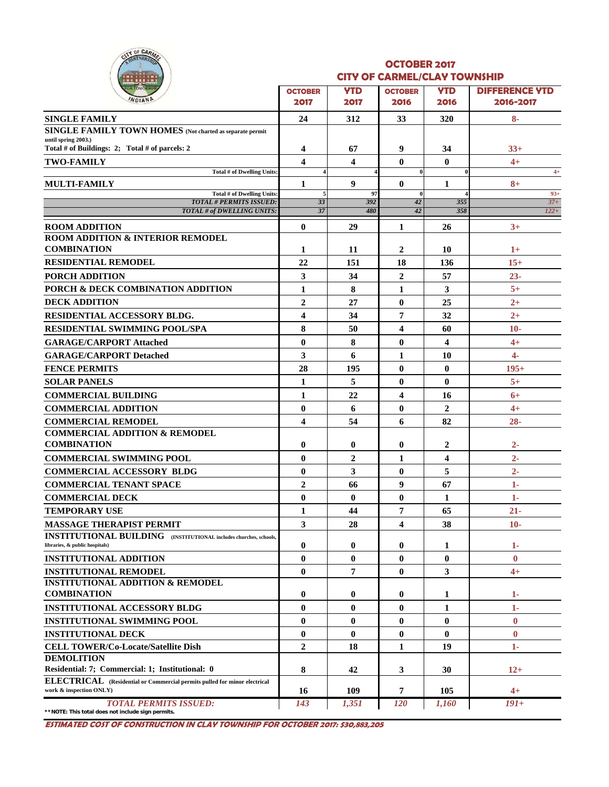

#### **OCTOBER 2017 CITY OF CARMEL/CLAY TOWNSHIP**

| <b>YTD</b><br><b>YTD</b><br><b>OCTOBER</b><br><b>OCTOBER</b><br>WDIAND<br>2017<br>2017<br>2016<br>2016<br><b>SINGLE FAMILY</b><br>24<br>312<br>33<br><b>320</b><br><b>SINGLE FAMILY TOWN HOMES</b> (Not charted as separate permit<br>until spring 2003.)<br>Total # of Buildings: 2; Total # of parcels: 2<br>9<br>4<br>67<br>34<br>$\overline{\mathbf{4}}$<br>$\bf{0}$<br>$\mathbf{0}$<br>$\overline{\mathbf{4}}$<br><b>TWO-FAMILY</b><br>Total # of Dwelling Units:<br>$\overline{a}$<br>$\bf{0}$<br>9<br>$\bf{0}$<br><b>MULTI-FAMILY</b><br>1<br>1<br>Total # of Dwelling Units:<br>97<br>$\bf{0}$<br><b>TOTAL # PERMITS ISSUED:</b><br>392<br>33<br>42<br>355<br>37<br><b>TOTAL # of DWELLING UNITS:</b><br>480<br>42<br>358<br>$\bf{0}$<br>29<br><b>ROOM ADDITION</b><br>1<br>26<br><b>ROOM ADDITION &amp; INTERIOR REMODEL</b> | <b>DIFFERENCE YTD</b><br>2016-2017<br>$8-$<br>$33+$<br>$4+$<br>$4+$<br>$8+$<br>$93+$<br>$37 +$<br>$122+$<br>$3+$ |
|---------------------------------------------------------------------------------------------------------------------------------------------------------------------------------------------------------------------------------------------------------------------------------------------------------------------------------------------------------------------------------------------------------------------------------------------------------------------------------------------------------------------------------------------------------------------------------------------------------------------------------------------------------------------------------------------------------------------------------------------------------------------------------------------------------------------------------------|------------------------------------------------------------------------------------------------------------------|
|                                                                                                                                                                                                                                                                                                                                                                                                                                                                                                                                                                                                                                                                                                                                                                                                                                       |                                                                                                                  |
|                                                                                                                                                                                                                                                                                                                                                                                                                                                                                                                                                                                                                                                                                                                                                                                                                                       |                                                                                                                  |
|                                                                                                                                                                                                                                                                                                                                                                                                                                                                                                                                                                                                                                                                                                                                                                                                                                       |                                                                                                                  |
|                                                                                                                                                                                                                                                                                                                                                                                                                                                                                                                                                                                                                                                                                                                                                                                                                                       |                                                                                                                  |
|                                                                                                                                                                                                                                                                                                                                                                                                                                                                                                                                                                                                                                                                                                                                                                                                                                       |                                                                                                                  |
|                                                                                                                                                                                                                                                                                                                                                                                                                                                                                                                                                                                                                                                                                                                                                                                                                                       |                                                                                                                  |
|                                                                                                                                                                                                                                                                                                                                                                                                                                                                                                                                                                                                                                                                                                                                                                                                                                       |                                                                                                                  |
|                                                                                                                                                                                                                                                                                                                                                                                                                                                                                                                                                                                                                                                                                                                                                                                                                                       |                                                                                                                  |
|                                                                                                                                                                                                                                                                                                                                                                                                                                                                                                                                                                                                                                                                                                                                                                                                                                       |                                                                                                                  |
|                                                                                                                                                                                                                                                                                                                                                                                                                                                                                                                                                                                                                                                                                                                                                                                                                                       |                                                                                                                  |
|                                                                                                                                                                                                                                                                                                                                                                                                                                                                                                                                                                                                                                                                                                                                                                                                                                       |                                                                                                                  |
|                                                                                                                                                                                                                                                                                                                                                                                                                                                                                                                                                                                                                                                                                                                                                                                                                                       |                                                                                                                  |
| <b>COMBINATION</b><br>$\mathbf{2}$<br>10<br>1<br>11                                                                                                                                                                                                                                                                                                                                                                                                                                                                                                                                                                                                                                                                                                                                                                                   | $1+$                                                                                                             |
| <b>RESIDENTIAL REMODEL</b><br>22<br>151<br>18<br>136                                                                                                                                                                                                                                                                                                                                                                                                                                                                                                                                                                                                                                                                                                                                                                                  | $15+$                                                                                                            |
| 3<br>34<br>$\boldsymbol{2}$<br>PORCH ADDITION<br>57                                                                                                                                                                                                                                                                                                                                                                                                                                                                                                                                                                                                                                                                                                                                                                                   | $23 -$                                                                                                           |
| PORCH & DECK COMBINATION ADDITION<br>$\mathbf{1}$<br>8<br>1<br>3                                                                                                                                                                                                                                                                                                                                                                                                                                                                                                                                                                                                                                                                                                                                                                      | $5+$                                                                                                             |
| $\boldsymbol{2}$<br><b>DECK ADDITION</b><br>$\bf{0}$<br>27<br>25                                                                                                                                                                                                                                                                                                                                                                                                                                                                                                                                                                                                                                                                                                                                                                      | $2+$                                                                                                             |
| $\overline{\mathbf{4}}$<br>7<br>RESIDENTIAL ACCESSORY BLDG.<br>34<br>32                                                                                                                                                                                                                                                                                                                                                                                                                                                                                                                                                                                                                                                                                                                                                               | $2+$                                                                                                             |
| 8<br>50<br>4<br><b>RESIDENTIAL SWIMMING POOL/SPA</b><br>60                                                                                                                                                                                                                                                                                                                                                                                                                                                                                                                                                                                                                                                                                                                                                                            | $10-$                                                                                                            |
| $\bf{0}$<br>8<br>$\bf{0}$<br>4<br><b>GARAGE/CARPORT Attached</b>                                                                                                                                                                                                                                                                                                                                                                                                                                                                                                                                                                                                                                                                                                                                                                      | $4+$                                                                                                             |
| 3<br>6<br>1<br><b>GARAGE/CARPORT Detached</b><br>10                                                                                                                                                                                                                                                                                                                                                                                                                                                                                                                                                                                                                                                                                                                                                                                   | $\overline{4}$                                                                                                   |
| <b>FENCE PERMITS</b><br>28<br>$\bf{0}$<br>$\bf{0}$<br>195                                                                                                                                                                                                                                                                                                                                                                                                                                                                                                                                                                                                                                                                                                                                                                             | $195+$                                                                                                           |
| 5<br>$\bf{0}$<br>$\bf{0}$<br><b>SOLAR PANELS</b><br>1                                                                                                                                                                                                                                                                                                                                                                                                                                                                                                                                                                                                                                                                                                                                                                                 | $5+$                                                                                                             |
| $\mathbf{1}$<br>22<br>4<br><b>COMMERCIAL BUILDING</b><br>16                                                                                                                                                                                                                                                                                                                                                                                                                                                                                                                                                                                                                                                                                                                                                                           | $6+$                                                                                                             |
| $\mathbf{0}$<br>6<br>$\bf{0}$<br>$\overline{2}$<br><b>COMMERCIAL ADDITION</b>                                                                                                                                                                                                                                                                                                                                                                                                                                                                                                                                                                                                                                                                                                                                                         | $4+$                                                                                                             |
| 4<br>54<br><b>COMMERCIAL REMODEL</b><br>6<br>82                                                                                                                                                                                                                                                                                                                                                                                                                                                                                                                                                                                                                                                                                                                                                                                       | $28 -$                                                                                                           |
| <b>COMMERCIAL ADDITION &amp; REMODEL</b>                                                                                                                                                                                                                                                                                                                                                                                                                                                                                                                                                                                                                                                                                                                                                                                              |                                                                                                                  |
| <b>COMBINATION</b><br>$\bf{0}$<br>$\bf{0}$<br>$\bf{0}$<br>$\mathbf{2}$                                                                                                                                                                                                                                                                                                                                                                                                                                                                                                                                                                                                                                                                                                                                                                | $2 -$                                                                                                            |
| $\mathbf{0}$<br>$\overline{2}$<br>4<br><b>COMMERCIAL SWIMMING POOL</b><br>1                                                                                                                                                                                                                                                                                                                                                                                                                                                                                                                                                                                                                                                                                                                                                           | $2 -$                                                                                                            |
| <b>COMMERCIAL ACCESSORY BLDG</b><br>$\bf{0}$<br>3<br>$\bf{0}$<br>5                                                                                                                                                                                                                                                                                                                                                                                                                                                                                                                                                                                                                                                                                                                                                                    | $2 -$                                                                                                            |
| $\boldsymbol{2}$<br>9<br><b>COMMERCIAL TENANT SPACE</b><br>66<br>67                                                                                                                                                                                                                                                                                                                                                                                                                                                                                                                                                                                                                                                                                                                                                                   | 1-                                                                                                               |
| $\bf{0}$<br>$\bf{0}$<br>$\bf{0}$<br><b>COMMERCIAL DECK</b><br>1                                                                                                                                                                                                                                                                                                                                                                                                                                                                                                                                                                                                                                                                                                                                                                       | $1-$                                                                                                             |
| 7<br><b>TEMPORARY USE</b><br>1<br>44<br>65                                                                                                                                                                                                                                                                                                                                                                                                                                                                                                                                                                                                                                                                                                                                                                                            | $21 -$                                                                                                           |
| 3<br>${\bf 28}$<br>38<br><b>MASSAGE THERAPIST PERMIT</b><br>4                                                                                                                                                                                                                                                                                                                                                                                                                                                                                                                                                                                                                                                                                                                                                                         | $10-$                                                                                                            |
| <b>INSTITUTIONAL BUILDING</b> (INSTITUTIONAL includes churches, schools,                                                                                                                                                                                                                                                                                                                                                                                                                                                                                                                                                                                                                                                                                                                                                              |                                                                                                                  |
| $\bf{0}$<br>$\bf{0}$<br>0<br>libraries, & public hospitals)<br>1                                                                                                                                                                                                                                                                                                                                                                                                                                                                                                                                                                                                                                                                                                                                                                      | 1-                                                                                                               |
| $\bf{0}$<br>$\bf{0}$<br>$\bf{0}$<br>$\bf{0}$<br><b>INSTITUTIONAL ADDITION</b>                                                                                                                                                                                                                                                                                                                                                                                                                                                                                                                                                                                                                                                                                                                                                         | $\mathbf{0}$                                                                                                     |
| $\bf{0}$<br>7<br>$\bf{0}$<br>3<br><b>INSTITUTIONAL REMODEL</b>                                                                                                                                                                                                                                                                                                                                                                                                                                                                                                                                                                                                                                                                                                                                                                        | $4+$                                                                                                             |
| <b>INSTITUTIONAL ADDITION &amp; REMODEL</b>                                                                                                                                                                                                                                                                                                                                                                                                                                                                                                                                                                                                                                                                                                                                                                                           |                                                                                                                  |
| <b>COMBINATION</b><br>$\bf{0}$<br>$\bf{0}$<br>0<br>1                                                                                                                                                                                                                                                                                                                                                                                                                                                                                                                                                                                                                                                                                                                                                                                  | 1-                                                                                                               |
| <b>INSTITUTIONAL ACCESSORY BLDG</b><br>$\bf{0}$<br>$\bf{0}$<br>$\bf{0}$<br>1                                                                                                                                                                                                                                                                                                                                                                                                                                                                                                                                                                                                                                                                                                                                                          | 1-                                                                                                               |
| $\bf{0}$<br>$\bf{0}$<br>$\bf{0}$<br>$\bf{0}$<br><b>INSTITUTIONAL SWIMMING POOL</b>                                                                                                                                                                                                                                                                                                                                                                                                                                                                                                                                                                                                                                                                                                                                                    | $\bf{0}$                                                                                                         |
| $\bf{0}$<br>$\mathbf{0}$<br>$\bf{0}$<br>$\bf{0}$<br><b>INSTITUTIONAL DECK</b>                                                                                                                                                                                                                                                                                                                                                                                                                                                                                                                                                                                                                                                                                                                                                         | $\mathbf{0}$                                                                                                     |
| $\overline{2}$<br><b>CELL TOWER/Co-Locate/Satellite Dish</b><br>18<br>1<br>19                                                                                                                                                                                                                                                                                                                                                                                                                                                                                                                                                                                                                                                                                                                                                         | 1-                                                                                                               |
| <b>DEMOLITION</b>                                                                                                                                                                                                                                                                                                                                                                                                                                                                                                                                                                                                                                                                                                                                                                                                                     |                                                                                                                  |
| 8<br>Residential: 7; Commercial: 1; Institutional: 0<br>42<br>30<br>3                                                                                                                                                                                                                                                                                                                                                                                                                                                                                                                                                                                                                                                                                                                                                                 | $12+$                                                                                                            |
| ELECTRICAL (Residential or Commercial permits pulled for minor electrical<br>work & inspection ONLY)<br>16<br>109<br>7<br>105                                                                                                                                                                                                                                                                                                                                                                                                                                                                                                                                                                                                                                                                                                         | $4+$                                                                                                             |
| <b>TOTAL PERMITS ISSUED:</b><br>143<br><b>120</b><br>1,351<br>1,160<br>**NOTE: This total does not include sign permits.                                                                                                                                                                                                                                                                                                                                                                                                                                                                                                                                                                                                                                                                                                              | $191 +$                                                                                                          |

**ESTIMATED COST OF CONSTRUCTION IN CLAY TOWNSHIP FOR OCTOBER 2017: \$30,883,205**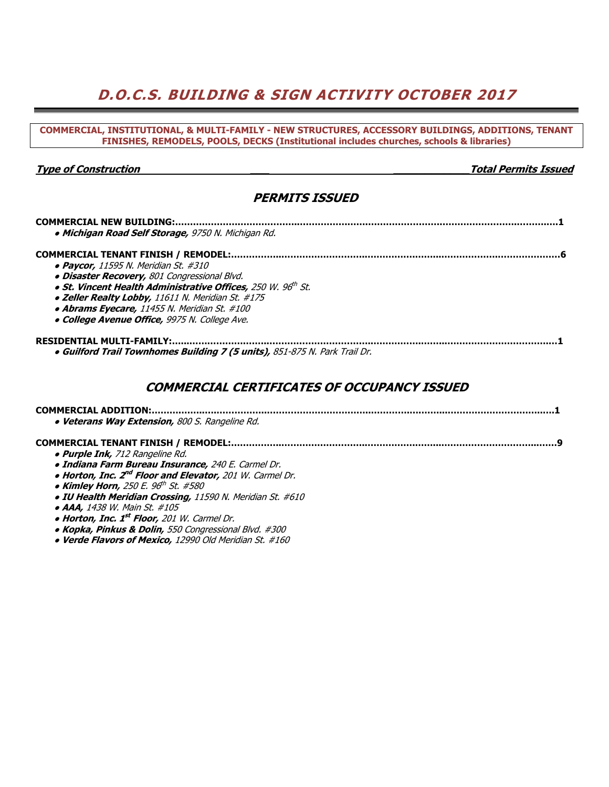# **D.O.C.S. BUILDING & SIGN ACTIVITY OCTOBER 2017**

| COMMERCIAL, INSTITUTIONAL, & MULTI-FAMILY - NEW STRUCTURES, ACCESSORY BUILDINGS, ADDITIONS, TENANT<br>FINISHES, REMODELS, POOLS, DECKS (Institutional includes churches, schools & libraries) |                             |
|-----------------------------------------------------------------------------------------------------------------------------------------------------------------------------------------------|-----------------------------|
|                                                                                                                                                                                               |                             |
| <b>Type of Construction</b>                                                                                                                                                                   | <b>Total Permits Issued</b> |
| <b>PERMITS ISSUED</b>                                                                                                                                                                         |                             |
|                                                                                                                                                                                               |                             |
| · Michigan Road Self Storage, 9750 N. Michigan Rd.                                                                                                                                            |                             |
|                                                                                                                                                                                               |                             |
| • Paycor, 11595 N. Meridian St. #310                                                                                                                                                          |                             |
| · Disaster Recovery, 801 Congressional Blvd.                                                                                                                                                  |                             |
| · St. Vincent Health Administrative Offices, 250 W. 96th St.                                                                                                                                  |                             |
| • Zeller Realty Lobby, 11611 N. Meridian St. #175                                                                                                                                             |                             |
| • Abrams Eyecare, 11455 N. Meridian St. #100                                                                                                                                                  |                             |
| · College Avenue Office, 9975 N. College Ave.                                                                                                                                                 |                             |
| . Guilford Trail Townhomes Building 7 (5 units), 851-875 N. Park Trail Dr.                                                                                                                    |                             |
| <b>COMMERCIAL CERTIFICATES OF OCCUPANCY ISSUED</b>                                                                                                                                            |                             |
|                                                                                                                                                                                               |                             |
| · Veterans Way Extension, 800 S. Rangeline Rd.                                                                                                                                                |                             |
|                                                                                                                                                                                               |                             |
| · Purple Ink, 712 Rangeline Rd.                                                                                                                                                               |                             |
| · Indiana Farm Bureau Insurance, 240 E. Carmel Dr.                                                                                                                                            |                             |
| . Horton, Inc. 2 <sup>nd</sup> Floor and Elevator, 201 W. Carmel Dr.                                                                                                                          |                             |
| • Kimley Horn, 250 E. 96 <sup>th</sup> St. #580                                                                                                                                               |                             |
| . IU Health Meridian Crossing, 11590 N. Meridian St. #610                                                                                                                                     |                             |
| • AAA, 1438 W. Main St. #105                                                                                                                                                                  |                             |
| • Horton, Inc. 1st Floor, 201 W. Carmel Dr.                                                                                                                                                   |                             |
| • Kopka, Pinkus & Dolin, 550 Congressional Blvd. #300                                                                                                                                         |                             |
| • Verde Flavors of Mexico, 12990 Old Meridian St. #160                                                                                                                                        |                             |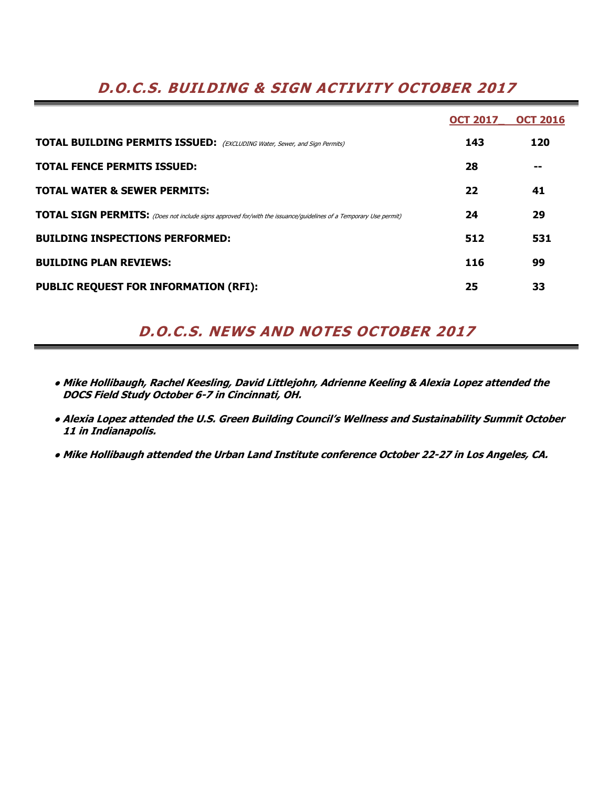## **D.O.C.S. BUILDING & SIGN ACTIVITY OCTOBER 2017**

|                                                                                                                         | <b>OCT 2017</b> | <b>OCT 2016</b> |
|-------------------------------------------------------------------------------------------------------------------------|-----------------|-----------------|
| <b>TOTAL BUILDING PERMITS ISSUED:</b> (EXCLUDING Water, Sewer, and Sign Permits)                                        | 143             | 120             |
| <b>TOTAL FENCE PERMITS ISSUED:</b>                                                                                      | 28              |                 |
| <b>TOTAL WATER &amp; SEWER PERMITS:</b>                                                                                 | 22              | 41              |
| <b>TOTAL SIGN PERMITS:</b> (Does not include signs approved for/with the issuance/guidelines of a Temporary Use permit) | 24              | 29              |
| <b>BUILDING INSPECTIONS PERFORMED:</b>                                                                                  | 512             | 531             |
| <b>BUILDING PLAN REVIEWS:</b>                                                                                           | 116             | 99              |
| <b>PUBLIC REQUEST FOR INFORMATION (RFI):</b>                                                                            | 25              | 33              |

## **D.O.C.S. NEWS AND NOTES OCTOBER 2017**

- **● Mike Hollibaugh, Rachel Keesling, David Littlejohn, Adrienne Keeling & Alexia Lopez attended the DOCS Field Study October 6-7 in Cincinnati, OH.**
- **● Alexia Lopez attended the U.S. Green Building Council's Wellness and Sustainability Summit October 11 in Indianapolis.**
- **● Mike Hollibaugh attended the Urban Land Institute conference October 22-27 in Los Angeles, CA.**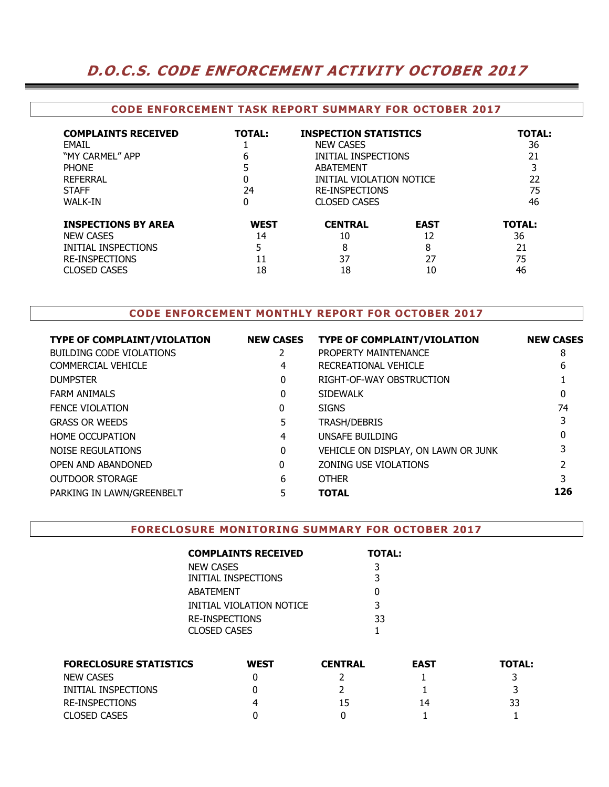### **D.O.C.S. CODE ENFORCEMENT ACTIVITY OCTOBER 2017**

#### **CODE ENFORCEMENT TASK REPORT SUMMARY FOR OCTOBER 2017**

| <b>COMPLAINTS RECEIVED</b><br>FMAIL<br>"MY CARMEL" APP<br><b>PHONE</b><br>REFERRAL<br><b>STAFF</b><br>WALK-IN | <b>TOTAL:</b><br>6<br>0<br>24<br>0 | <b>INSPECTION STATISTICS</b><br><b>NEW CASES</b><br>INITIAL INSPECTIONS<br>ABATEMENT<br>INITIAL VIOLATION NOTICE<br><b>RE-INSPECTIONS</b><br><b>CLOSED CASES</b> |             | <b>TOTAL:</b><br>36<br>21<br>22<br>75<br>46 |
|---------------------------------------------------------------------------------------------------------------|------------------------------------|------------------------------------------------------------------------------------------------------------------------------------------------------------------|-------------|---------------------------------------------|
| <b>INSPECTIONS BY AREA</b>                                                                                    | <b>WEST</b>                        | <b>CENTRAL</b>                                                                                                                                                   | <b>EAST</b> | <b>TOTAL:</b>                               |
| <b>NEW CASES</b>                                                                                              | 14                                 | 10                                                                                                                                                               | 12          | 36                                          |
| INITIAL INSPECTIONS                                                                                           | 5                                  | 8                                                                                                                                                                | 8           | 21                                          |
| <b>RE-INSPECTIONS</b>                                                                                         | 11                                 | 37                                                                                                                                                               | 27          | 75                                          |
| <b>CLOSED CASES</b>                                                                                           | 18                                 | 18                                                                                                                                                               | 10          | 46                                          |

### **CODE ENFORCEMENT MONTHLY REPORT FOR OCTOBER 2017**

| <b>TYPE OF COMPLAINT/VIOLATION</b> | <b>NEW CASES</b> | <b>TYPE OF COMPLAINT/VIOLATION</b>  | <b>NEW CASES</b> |
|------------------------------------|------------------|-------------------------------------|------------------|
| BUILDING CODE VIOLATIONS           |                  | PROPERTY MAINTENANCE                | 8                |
| COMMERCIAL VEHICLE                 | 4                | RECREATIONAL VEHICLE                | 6                |
| <b>DUMPSTER</b>                    | 0                | RIGHT-OF-WAY OBSTRUCTION            |                  |
| <b>FARM ANIMALS</b>                | 0                | <b>SIDEWALK</b>                     |                  |
| <b>FENCE VIOLATION</b>             | 0                | <b>SIGNS</b>                        | 74               |
| <b>GRASS OR WEEDS</b>              | 5                | TRASH/DEBRIS                        |                  |
| <b>HOME OCCUPATION</b>             | 4                | UNSAFE BUILDING                     |                  |
| NOISE REGULATIONS                  | 0                | VEHICLE ON DISPLAY, ON LAWN OR JUNK |                  |
| OPEN AND ABANDONED                 | 0                | ZONING USE VIOLATIONS               |                  |
| OUTDOOR STORAGE                    | 6                | <b>OTHER</b>                        |                  |
| PARKING IN LAWN/GREENBELT          |                  | <b>TOTAL</b>                        | 126              |
|                                    |                  |                                     |                  |

#### **FORECLOSURE MONITORING SUMMARY FOR OCTOBER 2017**

| <b>COMPLAINTS RECEIVED</b> | <b>TOTAL:</b> |
|----------------------------|---------------|
| NEW CASES                  | 3             |
| INITIAL INSPECTIONS        | 3             |
| ABATEMENT                  | O             |
| INITIAL VIOLATION NOTICE   | 3             |
| <b>RE-INSPECTIONS</b>      | 33            |
| CLOSED CASES               |               |

| <b>FORECLOSURE STATISTICS</b> | <b>WEST</b> | <b>CENTRAL</b> | <b>EAST</b> | <b>TOTAL:</b> |
|-------------------------------|-------------|----------------|-------------|---------------|
| <b>NEW CASES</b>              |             |                |             |               |
| INITIAL INSPECTIONS           |             |                |             |               |
| RE-INSPECTIONS                | 4           | 15             | 14          | 33            |
| <b>CLOSED CASES</b>           |             |                |             |               |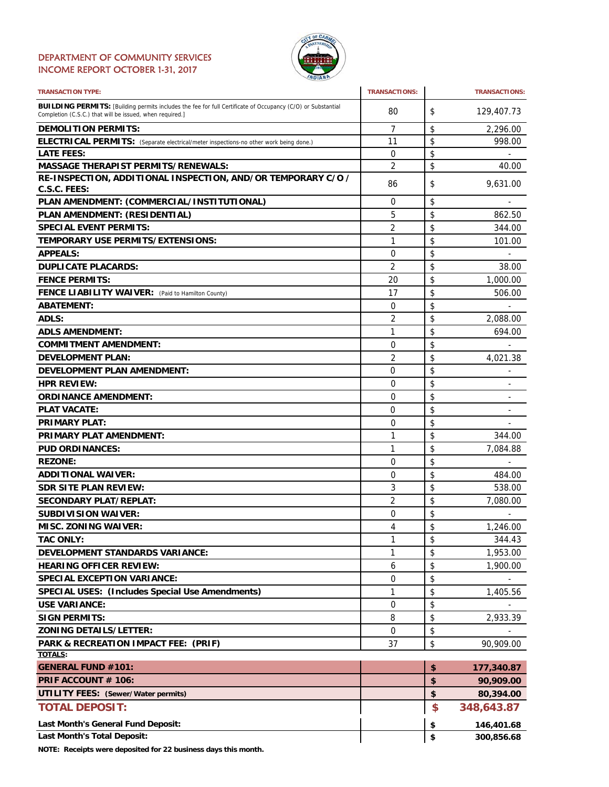#### DEPARTMENT OF COMMUNITY SERVICES INCOME REPORT OCTOBER 1-31, 2017



| <b>TRANSACTION TYPE:</b>                                                                                                                                                       | <b>TRANSACTIONS:</b> |          | <b>TRANSACTIONS:</b>         |
|--------------------------------------------------------------------------------------------------------------------------------------------------------------------------------|----------------------|----------|------------------------------|
| <b>BUILDING PERMITS:</b> [Building permits includes the fee for full Certificate of Occupancy (C/O) or Substantial<br>Completion (C.S.C.) that will be issued, when required.] | 80                   | \$       | 129,407.73                   |
| <b>DEMOLITION PERMITS:</b>                                                                                                                                                     | 7                    | \$       | 2,296.00                     |
| ELECTRICAL PERMITS: (Separate electrical/meter inspections-no other work being done.)                                                                                          | 11                   | \$       | 998.00                       |
| <b>LATE FEES:</b>                                                                                                                                                              | $\mathbf 0$          | \$       |                              |
| <b>MASSAGE THERAPIST PERMITS/RENEWALS:</b>                                                                                                                                     | 2                    | \$       | 40.00                        |
| RE-INSPECTION, ADDITIONAL INSPECTION, AND/OR TEMPORARY C/O /                                                                                                                   | 86                   | \$       | 9,631.00                     |
| C.S.C. FEES:                                                                                                                                                                   |                      |          |                              |
| PLAN AMENDMENT: (COMMERCIAL/INSTITUTIONAL)                                                                                                                                     | 0                    | \$       |                              |
| PLAN AMENDMENT: (RESIDENTIAL)                                                                                                                                                  | 5                    | \$       | 862.50                       |
| <b>SPECIAL EVENT PERMITS:</b>                                                                                                                                                  | $\overline{2}$       | \$       | 344.00                       |
| <b>TEMPORARY USE PERMITS/EXTENSIONS:</b>                                                                                                                                       | 1                    | \$       | 101.00                       |
| <b>APPEALS:</b>                                                                                                                                                                | 0                    | \$       |                              |
| <b>DUPLICATE PLACARDS:</b>                                                                                                                                                     | 2                    | \$       | 38.00                        |
| <b>FENCE PERMITS:</b>                                                                                                                                                          | 20                   | \$       | 1,000.00                     |
| FENCE LIABILITY WAIVER: (Paid to Hamilton County)                                                                                                                              | 17                   | \$       | 506.00                       |
| <b>ABATEMENT:</b>                                                                                                                                                              | 0                    | \$       |                              |
| <b>ADLS:</b>                                                                                                                                                                   | 2                    | \$       | 2.088.00                     |
| <b>ADLS AMENDMENT:</b>                                                                                                                                                         | 1                    | \$       | 694.00                       |
| <b>COMMITMENT AMENDMENT:</b>                                                                                                                                                   | 0                    | \$       |                              |
| <b>DEVELOPMENT PLAN:</b>                                                                                                                                                       | 2                    | \$       | 4,021.38                     |
| <b>DEVELOPMENT PLAN AMENDMENT:</b>                                                                                                                                             | 0                    | \$       | $\qquad \qquad \blacksquare$ |
| <b>HPR REVIEW:</b>                                                                                                                                                             | 0                    | \$       | $\overline{\phantom{a}}$     |
| <b>ORDINANCE AMENDMENT:</b>                                                                                                                                                    | 0                    | \$       | $\overline{\phantom{a}}$     |
| <b>PLAT VACATE:</b>                                                                                                                                                            | 0                    | \$       | -                            |
| <b>PRIMARY PLAT:</b>                                                                                                                                                           | 0                    | \$       |                              |
| <b>PRIMARY PLAT AMENDMENT:</b>                                                                                                                                                 | 1                    | \$       | 344.00                       |
| <b>PUD ORDINANCES:</b>                                                                                                                                                         | 1                    | \$       | 7,084.88                     |
| <b>REZONE:</b>                                                                                                                                                                 | 0                    | \$       |                              |
| <b>ADDITIONAL WAIVER:</b>                                                                                                                                                      | 0                    | \$       | 484.00                       |
| <b>SDR SITE PLAN REVIEW:</b>                                                                                                                                                   | 3                    | \$       | 538.00                       |
| <b>SECONDARY PLAT/REPLAT:</b>                                                                                                                                                  | $\overline{2}$       |          | 7,080.00                     |
|                                                                                                                                                                                |                      | \$       |                              |
| <b>SUBDIVISION WAIVER:</b>                                                                                                                                                     | 0<br>4               | \$<br>\$ |                              |
| <b>MISC. ZONING WAIVER:</b>                                                                                                                                                    |                      |          | 1,246.00                     |
| <b>TAC ONLY:</b>                                                                                                                                                               | 1                    | \$       | 344.43                       |
| <b>DEVELOPMENT STANDARDS VARIANCE:</b>                                                                                                                                         | 1                    | \$       | 1,953.00                     |
| <b>HEARING OFFICER REVIEW:</b>                                                                                                                                                 | 6                    | \$       | 1,900.00                     |
| <b>SPECIAL EXCEPTION VARIANCE:</b>                                                                                                                                             | 0                    | \$       |                              |
| <b>SPECIAL USES: (Includes Special Use Amendments)</b>                                                                                                                         | 1                    | \$       | 1,405.56                     |
| <b>USE VARIANCE:</b>                                                                                                                                                           | 0                    | \$       |                              |
| <b>SIGN PERMITS:</b>                                                                                                                                                           | 8                    | \$       | 2,933.39                     |
| <b>ZONING DETAILS/LETTER:</b>                                                                                                                                                  | 0                    | \$       |                              |
| PARK & RECREATION IMPACT FEE: (PRIF)                                                                                                                                           | 37                   | \$       | 90,909.00                    |
| <b>TOTALS:</b>                                                                                                                                                                 |                      |          |                              |
| <b>GENERAL FUND #101:</b>                                                                                                                                                      |                      | \$       | 177,340.87                   |
| PRIF ACCOUNT # 106:                                                                                                                                                            |                      | \$       | 90,909.00                    |
| <b>UTILITY FEES: (Sewer/Water permits)</b>                                                                                                                                     |                      | \$       | 80,394.00                    |
| <b>TOTAL DEPOSIT:</b>                                                                                                                                                          |                      | \$       | 348,643.87                   |
| Last Month's General Fund Deposit:                                                                                                                                             |                      | \$       | 146,401.68                   |
| <b>Last Month's Total Deposit:</b>                                                                                                                                             |                      | \$       | 300,856.68                   |

**NOTE: Receipts were deposited for 22 business days this month.**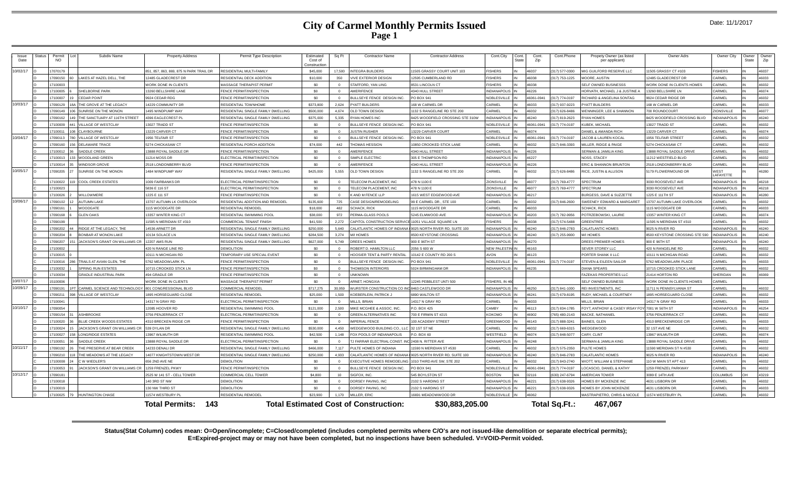### **City of Carmel Monthly Permits Issued Page 1**

| <b>Issue</b><br>Status<br>Date | Permit<br><b>NO</b> | Subdiv Name                          | <b>Property Address</b>                         | Permit Type Description                          | Estimated<br>Cost of<br>Constructio | Sa Ft          | <b>Contractor Name</b>                                       | <b>Contractor Address</b>           | Cont.City                          | Cont<br>State | Cont.<br>Zip   | Cont.Phone     | Propety Owner (as listed<br>per applicant)     | Owner Adrs                                | Owner City                  | Owner<br>State | Owne<br>Zip    |
|--------------------------------|---------------------|--------------------------------------|-------------------------------------------------|--------------------------------------------------|-------------------------------------|----------------|--------------------------------------------------------------|-------------------------------------|------------------------------------|---------------|----------------|----------------|------------------------------------------------|-------------------------------------------|-----------------------------|----------------|----------------|
| 0/02/17                        | 7070179             |                                      | 851, 857, 863, 869, 875 N PARK TRAIL DR         | RESIDENTIAL MULTI-FAMILY                         | \$45,000                            | 17.500         | <b>INTEGRA BUILDERS</b>                                      | 11505 GRASSY COURT UNIT 103         | <b>FISHERS</b>                     |               | 16037          | 317) 577-0300  | MIG GUILFORD RESERVE LLC                       | 1505 GRASSY CT #103                       | <b>ISHERS</b>               |                | 46037          |
|                                | 709015              | LAKES AT HAZEL DELL. THE             | 12485 GLADECREST DR                             | RESIDENTIAL DECK ADDITION                        | \$10,000                            | 350            | <b>IVE EXTERIOR DESIGN</b>                                   | 2595 CUMBERLAND RD                  | <b>FISHERS</b>                     |               | 16038          | (317) 753-1225 | MOORE, AUSTIN                                  | 2485 GLADECREST DR                        | <b>APMEI</b>                |                | 46033          |
|                                | 7100003             |                                      | <b><i>NORK DONE IN CLIENTS</i></b>              | <b>MASSAGE THERAPIST PERMIT</b>                  | \$0                                 | $\Omega$       | STAFFORD, YAN LING                                           | <b>8531 LINCOLN CT</b>              | <b>FISHERS</b>                     |               | 46038          |                | SELF OWNED BUSINESSS                           | VORK DONE IN CLIENTS HOMES                | ARMEL                       |                | 46032          |
|                                | 7100005             | SHELBORNE PARK                       | 13260 BELLSHIRE LANE                            | FENCE PERMIT/INSPECTION                          | \$0                                 | $\Omega$       | <b>MERIFENCE</b>                                             | 4340 HULL STREET                    | <b>INDIANAPOLIS</b>                |               | 16226          |                | HORVATH, MICHAEL J & JUSTINE                   | 3260 BELLSHIRE LN                         | <b>APMEI</b>                |                | 46074          |
|                                | 7100007             | <b>CEDAR POINT</b>                   | 9924 CEDAR RDG                                  | FENCE PERMIT/INSPECTION                          | so.                                 | $\Omega$       | <b>BULLSEYE FENCE DESIGN INC.</b>                            | PO BOX 941                          | <b>VOBLESVILLE</b>                 |               | 6061-0941      | (317) 774-0197 | <b>RICHARD &amp; ANGELINA SONTAG</b>           | 924 CEDAR RIDGE DR                        | ARMEI                       |                | 46032          |
| 10/03/17                       | 1090129             | THE GROVE AT THE LEGACY              | 14229 COMMUNITY DR                              | <b>RESIDENTIAL TOWNHOME</b>                      | \$373,800                           | 2.624          | <b>PYATT BUILDERS</b>                                        | 168 W CARMEL DR                     | CARMEL                             |               | 16033          | (317) 937-9223 | PYATT BUILDERS                                 | 168 W CARMEL DR                           | ARMEI                       |                | 46033          |
|                                | 1090149             | SUNRISE ON THE MONON                 | 495 WINDPUMP WAY                                | RESIDENTIAL SINGLE FAMILY DWELLING               | \$500,000                           | 4.674          | <b>OLD TOWN DESIGN</b>                                       | 132 S RANGELINE RD STE 200          | CARMEL                             |               | \$6032         | (317) 626-8486 | <b><i>NENNINGER, LEE &amp; SHANNON</i></b>     | 00 ROUNDCOURT                             | <b>IONSVILLE</b>            |                | 46077          |
|                                | 7090162             | THE SANCTUARY AT 116TH STREET        | <b>1396 EAGLECREST PL</b>                       | RESIDENTIAL SINGLE FAMILY DWELLING               | \$375,000                           | 5,335          | <b>RYAN HOMES INC</b>                                        | 3425 WOODFIELD CROSSING STE 310W    | NDIANAPOLIS                        |               | 16240          | (317) 819-2623 | <b>YAN HOMES</b>                               | 425 WOODFIELD CROSSING BLVD               | <b>NDIANAPOLIS</b>          |                | 46240          |
|                                | 7100009             | <b>VILLAGE OF WESTCLAY</b>           | 3027 TRADD ST                                   | FENCE PERMIT/INSPECTION                          | \$0                                 | $\Omega$       | <b>BULLSEYE FENCE DESIGN INC.</b>                            | PO BOX 941                          | <b>VOBLESVILLE</b>                 |               | 16061-0941     | (317) 774-0197 | KUBEK, MICHAEL                                 | 3027 TRADD ST                             | ARMEI                       |                | 46032          |
|                                | 710001              | CLAYROURNE                           | 13229 CARVER CT                                 | FENCE PERMIT/INSPECTION                          | \$0                                 | $\Omega$       | <b>JUSTIN RUSHER</b>                                         | 3229 CARVER COURT                   | CARMEL                             |               | 6074           |                | DANIEL & AMANDA RICH                           | 3229 CARVER CT                            | <b>APMEI</b>                |                | 46074          |
| 10/04/17                       | 7090113             | VILLAGE OF WESTCLAY                  | 1956 TELFAIR ST                                 | FENCE PERMIT/INSPECTION                          | \$0                                 | $\Omega$       | <b>BULLSEYE FENCE DESIGN INC.</b>                            | PO BOX 941                          | NOBLESVILLE                        |               | 6061-0941      | (317) 774-0197 | <b>JACOB &amp; LAUREN KOCAL</b>                | 956 TELFAIR STREET                        | <b>ARMEL</b>                |                | 46032          |
|                                | 7090160             | <b>DELAWARE TRACE</b>                | 5274 CHICKASAW CT                               | RESIDENTIAL PORCH ADDITION                       | \$74,000                            | 442            | <b>THOMAS HESSION</b>                                        | 0850 CROOKED STICK LANE             | CARMEL                             |               | 16032          | (317) 846-3393 | MILLER, RIDGE & PAIGE                          | <b>274 CHICKASAW CT</b>                   | ARMFI:                      |                | 46032          |
|                                | 7100012             | SADDLE CREEK                         | 3888 ROYAL SADDLE DR                            | <b>FENCE PERMIT/INSPECTION</b>                   | \$0                                 | $\Omega$       | <b>MERIFENCE</b>                                             | <b>1340 HULL STREET</b>             | NDIANAPOLIS                        |               | 6226           |                | ERMAN & JAMILIA KING                           | 3888 ROYAL SADDLE DRIVE                   | ARMF:                       |                | 46032          |
|                                | 7100013             | WOODLAND GREEI                       | 11214 MOSS DR                                   | ELECTRICAL PERMIT/INSPECTION                     | \$0                                 | $\Omega$       | SIMPLE ELECTRIO                                              | 305 E THOMPSON RD                   | <b>INDIANAPOLIS</b>                |               | 6227           |                | <b>NOSS, STACEY</b>                            | 1212 WESTFIELD BLVD                       | ARMEI                       |                | 46032          |
|                                | 7100014             | <b>VINDSOR GROVE</b>                 | 2518 LONDONBERRY BLVD                           | FENCE PERMIT/INSPECTION                          | so.                                 | $\Omega$       | <b>MERIFFNCE</b>                                             | <b>4340 HULL STREET</b>             | INDIANAPOLIS                       |               | 16226          |                | <b>FRIC &amp; SHANNON BRUNTON</b>              | 2518 LONDONBERRY BLVD                     | ARMFI:                      |                | 46032          |
| 10/05/17                       | 7090205             | SUNRISE ON THE MONON                 | 1484 WINDPUMP WAY                               | RESIDENTIAL SINGLE FAMILY DWELLING               | \$425,000                           | 5,555          | OLD TOWN DESIGN                                              | 132 S RANGELINE RD STE 200          | CARMEL                             |               | 46032          | (317) 626-8486 | RICE, JUSTIN & ALLISON                         | 179 FLOWERMOUND DR                        | WEST<br>AFAYETTE            |                | 46280          |
|                                | 710002              | <b>COOL CREEK ESTATES</b>            | 1009 FAIRBANKS DI                               | ELECTRICAL PERMIT/INSPECTION                     | \$0                                 | $\Omega$       | TELECOM PLACEMENT, INC                                       | 478 N 1100 E                        | ZIONSVILLE                         |               | 16077          | (317) 769-4777 | SPECTRUM                                       | 3030 ROOSEVELT AVE                        | <b>INDIANAPOLIS</b>         |                | 46218          |
|                                | 7100023             |                                      | 5836 E 116 ST                                   | ELECTRICAL PERMIT/INSPECTION                     | \$0                                 | $\Omega$       | <b>FELECOM PLACEMENT, INC</b>                                | 478 N 1100 E                        | ZIONSVILLE                         |               | 46077          | (317) 769-4777 | SPECTRUM                                       | <b>8030 ROOSEVELT AVE</b>                 | <b>INDIANAPOLIS</b>         |                | 46218          |
|                                | 7100026             | WILLOWMERE                           | 1225 F 111 ST                                   | FENCE PERMIT/INSPECTION                          | \$0                                 | $\Omega$       | K AND M FENCE LLP                                            | 615 WEST EDGEWOOD AVE               | <b>NDIANAPOLIS</b>                 |               | 16217          |                | URGESS, DAVE & SUZZETTE                        | 225 E 111 TH ST                           | <b>INDIANAPOLIS</b>         |                | 46280          |
| 10/06/17                       |                     |                                      |                                                 |                                                  |                                     |                |                                                              |                                     | CARMEL                             |               |                |                |                                                |                                           | ARMEI                       |                | 46032          |
|                                | 090102              | <b>NUTUMN LAKE</b>                   | <b>13707 AUTUMN LK OVERLOOK</b>                 | RESIDENTIAL ADDITION AND REMODEL                 | \$135,600                           | 725            | CASE DESIGN/REMODELING                                       | 99 E CARMEL DR., STE 100            |                                    |               | 16032          | 317) 846-2600  | SWEENEY EDWARD & MARGARET                      | 3707 AUTUMN LAKE OVERLOOK                 |                             |                |                |
|                                | 090161<br>7090168   | VOODGATE<br><b>GLEN OAKS</b>         | 1115 WOODGATE DR<br><b>13357 WINTER KING CT</b> | RESIDENTIAL REMODEI<br>RESIDENTIAL SWIMMING POOL | \$18,000<br>\$38,000                | 482<br>972     | <b>SCHACK, RICK</b><br>PERMA-GLASS POOLS                     | 115 WOODGATE DR<br>5245 ELMWOOD AVE | <b>ARMFI</b><br><b>INDIANAPOLI</b> |               | 6033<br>16203  | (317) 782-9956 | <b>SCHACK, RICK</b><br>POTRZEBOWSKI, LAURIE    | 115 WOODGATE DR<br>3357 WINTER KING CT    | ARMFI<br><b>ARMEL</b>       |                | 46033<br>46074 |
|                                |                     |                                      |                                                 |                                                  |                                     |                |                                                              |                                     |                                    |               |                |                |                                                |                                           |                             |                | 46032          |
|                                | 7090199<br>090202   |                                      | 11595 N MERIDIAN ST #310<br>4536 ARNETT DR      | COMMERCIAL TENANT FINISH                         | \$41,500                            | 2,272<br>5.640 | CAPITOL CONSTRUCTION SERVICE 11051 VILLAGE SQUARE LN         |                                     | <b>FISHERS</b>                     |               | 16038<br>16240 | (317) 574-5488 | GREENTREE                                      | 1595 N MERIDIAN ST #310<br>025 N RIVER RD | <b>ARMFI</b><br>NDIANAPOLIS |                | 46240          |
|                                |                     | RIDGE AT THE LEGACY. THE             |                                                 | RESIDENTIAL SINGLE FAMILY DWELLING               | \$250,000                           |                | CALATLANTIC HOMES OF INDIANA                                 | 9025 NORTH RIVER RD, SUITE 100      | <b>NDIANAPOLIS</b>                 |               |                | (317) 846-2783 | CALATLANTIC HOMES                              |                                           |                             |                |                |
|                                | 090204              | ONBAR AT MONON LAKE                  | 10134 SOLACE LN                                 | RESIDENTIAL SINGLE FAMILY DWELLING               | \$284,500                           | 3.274          | <b>MIHOMES</b>                                               | 500 KEYSTONE CROSSING               | <b>NDIANAPOLIS</b>                 |               | 16240          | (317) 255-9900 | M/I HOMES                                      | 3500 KEYSTONE CROSSING STE 590            | <b>INDIANAPOLIS</b>         |                | 46240          |
|                                | '090207             | JACKSON'S GRANT ON WILLIAMS CR       | 2207 AMS RUN                                    | RESIDENTIAL SINGLE FAMILY DWELLING               | \$627,000                           | 5.749          | REES HOMES                                                   | 900 E 96TH ST                       | <b>INDIANAPOLIS</b>                |               | 16270          |                | DREES PREMIER HOMES                            | 900 E 96TH ST                             | NDIANAPOLIS                 |                | 46240          |
|                                | 7100002             |                                      | 120 N RANGE LINE RD                             | <b>DEMOLITION</b>                                | \$0                                 | $\Omega$       | <b>OBERT D. HAMILTON LLC</b>                                 | 2056 S 600 W                        | <b>NEW PALESTIN</b>                |               | 16163          |                | SEVER STOREY LLC                               | 20 N RANGELINE RD                         | ARMEL                       |                | 46032          |
|                                | 7100015             |                                      | 10111 N MICHIGAN RD                             | TEMPORARY USE SPECIAL EVENT                      | \$0                                 | $\Omega$       | OOSIER TENT & PARTY RENTAL                                   | 0142 E COUNTY RD 200 S              | <b>AVON</b>                        |               | 46123          |                | PORTER SHANK II LLC                            | 0111 N MICHIGAN ROAD                      | ARMEI                       |                | 46032          |
|                                | 7100016             | TRAILS AT AVIAN GLEN. THE            | 762 MEADOWLARK PL                               | <b>FENCE PERMIT/INSPECTION</b>                   | \$0                                 | $\Omega$       | <b>IULLSEYE FENCE DESIGN INC</b>                             | O BOX 941                           | <b>JOBLESVILLE</b>                 |               | 6061-0941      | 317) 774-0197  | STEVEN & EILEEN SAILOR                         | 762 MEADOWLARK PLACE                      | ARMEI                       |                | 46033          |
|                                | 7100032             | <b>SPRING RUN ESTATES</b>            | 10715 CROOKED STICK LN                          | FENCE PERMIT/INSPECTION                          | \$0                                 | $\Omega$       | <b>HOMISON INTERIORS</b>                                     | 6024 BIRMINGHAM DR                  | <b>INDIANAPOLIS</b>                |               | 16235          |                | DIANA SPEARS                                   | 0715 CROOKED STICK LANE                   | ARMFI                       |                | 46032          |
|                                | 7100034             | <b>GRADLE INDUSTRIAL PARK</b>        | 494 GRADLE DR                                   | FENCE PERMIT/INSPECTION                          | \$0                                 | $\Omega$       | <b>JNKNOWN</b>                                               |                                     |                                    |               |                |                | FAZEKAS PROPERTIES LLC                         | 1414 HORTON RD                            | <b>HERIDAN</b>              |                | 46069          |
| 10/07/17                       | 5100006             |                                      | <b><i>NORK DONE IN CLIENTS</i></b>              | MASSAGE THERAPIST PERMIT                         | \$0                                 | $\Omega$       | <b>ARNET HONGXIA</b>                                         | 12245 PEBBLEST UNTL500              | <b>FISHERS. IN 46</b>              |               |                |                | SELF OWNED BUSINESS                            | VORK DONE IN CLIENTS HOMES                | ARMFI:                      |                |                |
| 10/09/17                       | 090191              | CARMEL SCIENCE AND TECHNOLOGY        | 801 CONGRESSIONAL BLVD                          | COMMERCIAL REMODEI                               | \$717,275                           | 30,959         | <b><i>NURSTER CONSTRUCTION CO INC 8463 CASTLEWOOD DF</i></b> |                                     | NDIANAPOLIS                        |               | 6250           | 317) 841-1000  | REI INVESTMENTS, INC                           | 1711 N PENNSYLVANIA ST                    | ARMEI                       |                | 46032          |
|                                | 7090211             | <b>VILLAGE OF WESTCLAY</b>           | <b>895 HORSEGUARD CLOSE</b>                     | <b>RESIDENTIAL REMODEL</b>                       | \$25,000                            | 1.500          | KOEBERLEIN, PATRICK J                                        | 890 WALTON ST                       | <b>INDIANAPOLIS</b>                |               | 46241          | (317) 679-8195 | RUDY, MICHAEL & COURTNEY                       | 895 HORSEGUARD CLOSE                      | ARMEI                       |                | 46032          |
|                                | 7100041             |                                      | 14317 N GRAY RD                                 | ELECTRICAL PERMIT/INSPECTION                     | so.                                 | $\Omega$       | MILLS, BRIAN                                                 | 14317 N GRAY RD                     | CARMEL                             |               | 46033          |                | MILLS RRIAN                                    | 4317 N GRAY RD                            | ARMEI                       |                | 46033          |
| 10/10/17                       | 7090054             |                                      | 12085 HOOVER RD                                 | RESIDENTIAL SWIMMING POOL                        | \$121,000                           | 2.500          | MIKE MCGHEE & ASSOC. INC.                                    | P.O. BOX 425                        | CAMRY                              |               | 46113          | (317) 834-1785 | FOYT, ANTHONY & CASEY IRSAY FOY 7001 W 56TH ST |                                           | INDIANAPOLIS                |                | 46254          |
|                                | 090154              | ASHBROOKE                            | 3756 PENJERRACK CT                              | ELECTRICAL PERMIT/INSPECTION                     | \$0                                 | $\Omega$       | <b>GREEN ALTERNATIVES INC</b>                                | 700 E FIRMIN ST #215                | <b>OKOMO</b>                       |               | 6902           | 765) 480-2143  | <b>MACKE, NATHANIE</b>                         | 756 PENJERRACK CT                         | ARMFI:                      |                | 46032          |
|                                | 710002              | BLUE CREEK WOODS ESTATES             | 4310 BRECKEN RIDGE CIR                          | FENCE PERMIT/INSPECTION                          | \$0                                 | $\Omega$       | <b>IMPERIAL FENCE</b>                                        | 100 ACADEMY STREET                  | GREENWOOD                          |               | 16143          | (317) 888-3241 | <b>BAINES, GLEN</b>                            | <b>4310 BRECKENRIDGE CIR</b>              | ARMEI                       |                | 46033          |
|                                | 7100024             | JACKSON'S GRANT ON WILLIAMS CR       | 539 DYLAN DR                                    | RESIDENTIAL SINGLE FAMILY DWELLING               | \$530,000                           | 4.450          | <b>NEDGEWOOD BUILDING CO., LLC</b>                           | 32 1ST ST NE                        | CARMEL                             |               | 16032          | (317) 669-6315 | NEDGEWOOD                                      | 32 1ST AVE NE                             | <b>ARMEL</b>                |                | 46032          |
|                                | 7100027             | <b>LONGRIDGE ESTATES</b>             | 3967 WILMUTH DR                                 | RESIDENTIAL SWIMMING POOL                        | \$42,500                            | 1,148          | FOX POOLS OF INDIANAPOLIS                                    | .O. BOX 60                          | <b>NESTFIELD</b>                   |               | 16074          | (317) 848-5077 | CARY, CLINT                                    | 3967 WILMUTH DR                           | ARMEL                       |                | 46074          |
|                                | 7100051             | SADDLE CREEK                         | 3888 ROYAL SADDLE DR                            | ELECTRICAL PERMIT/INSPECTION                     | \$0                                 | $\Omega$       | TJ FARRAR ELECTRIAL CONST. INC 2408 N. RITTER AVE            |                                     | <b>NDIANAPOLIS</b>                 |               | 16248          |                | SERMAN & JAMILIA KING                          | 3888 ROYAL SADDLE DRIVE                   | ARMEI                       |                | 46032          |
| 10/11/17                       | 090192              | THE PRESERVE AT BEAR CREEK           | 4233 DENALI DR                                  | RESIDENTIAL SINGLE FAMILY DWELLING               | \$466,000                           | 7.117          | PULTE HOMES OF INDIANA                                       | 1590 N MERIDIAN ST #530             | CARMEL                             |               | 6032           | (317) 575-2350 | PULTE HOMES                                    | 1590 MERIDIAN ST N #530                   | ARMFI                       |                | 46032          |
|                                | 7090210             | THE MEADOWS AT THE LEGACY            | <b>4077 KNIGHTSTOWN WEST DR</b>                 | RESIDENTIAL SINGLE FAMILY DWELLING               | \$250,000                           | 4933           | ALATI ANTIC HOMES OF INDIANA                                 | 025 NORTH RIVER RD, SUITE 100       | NDIANAPOLI:                        |               | 16240          | (317) 846-2783 | CALATLANTIC HOMES                              | 1025 N RIVER RD                           | NDIANAPOLIS                 |                | 46240          |
|                                | 7100008             | C W WIEDLER'S                        | 656 2ND AVE NE                                  | <b>DEMOLITION</b>                                | \$0                                 | $\Omega$       | EXECUTIVE HOMES REMODELING                                   | 010 THIRD AVE SW. STE 202           | CARMEL                             |               | 16032          | (317) 843-2740 | <b>NIOTT. WILLIAM &amp; STEPHANIE</b>          | 10 W MAIN ST APT 413                      | <b>ARMEL</b>                |                | 46032          |
|                                | 7100053             | <b>ACKSON'S GRANT ON WILLIAMS CR</b> | 259 FRENZEL PKWY                                | FENCE PERMIT/INSPECTION                          | \$0                                 | $\Omega$       | <b>BULLSEYE FENCE DESIGN INC.</b>                            | <b>O BOX 941</b>                    | <b>JOBLESVILLE</b>                 |               | 6061-094       | 317) 774-0197  | OCASCIO, DANIEL & KATHY                        | 259 FRENZEL PARKWAY                       | <b>ARMFI</b>                |                | 46032          |
| 10/12/17                       | 7090181             |                                      | 2525 W 141 ST - CELL TOWER                      | COMMERCIAL CELL TOWER                            | \$4,800                             | 10             | SIGFOX, INC.                                                 | <b>45 BOYLSTON ST</b>               | <b>BOSTON</b>                      |               | 116            | 630) 247-6794  | <b>MERICAN TOWER</b>                           | 8099 E 14TH AVE                           | <b>OLUMBUS</b>              |                | 43219          |
|                                | 7100018             |                                      | 140 3RD ST NW                                   | <b>DEMOLITION</b>                                | \$0                                 | $\Omega$       | DORSEY PAVING, INC                                           | 102 S HARDING ST                    | <b>INDIANAPOLIS</b>                |               | 16221          | (317) 638-9326 | HOMES BY MCKENZIE INC                          | <b>4631 LISBORN DR</b>                    | ARMEI                       |                | 46032          |
|                                | 710001              |                                      | 130 NW THIRD ST                                 | DEMOLITION                                       | \$0                                 |                | ORSEY PAVING. INC.                                           | 102 S HARDING ST                    | NDIANAPOLI:                        |               | 46221          | 317) 638-9326  | <b>OMES BY JOHN MCKENZIE</b>                   | 1631 LISRORN DE                           | ARMEI                       |                | 46033          |
|                                | 7100025             | <b>HUNTINGTON CHASE</b>              | 11574 WESTBURY PI                               | RESIDENTIAL REMODEL                              | \$23,900                            | 1.170          | MILLER, FRIC                                                 | 6691 MEADOWWOOD DR                  | <b>VOBLESVILLE</b>                 |               | 46062          |                | MASTRAPIETRO, CHRIS & NICOLE                   | 1574 WESTBURY PL                          | <b>ARMFI</b>                |                | 46032          |
|                                |                     |                                      | 143<br><b>Total Permits:</b>                    |                                                  |                                     |                | <b>Total Estimated Cost of Construction:</b>                 | \$30,883,205.00                     |                                    |               |                | Total Sq.Ft.:  | 467.067                                        |                                           |                             |                |                |

**Status(Stat Column) codes mean: O=Open/incomplete; C=Closed/completed (includes completed permits where C/O's are not issued-like demolition or separate electrical permits); E=Expired-project may or may not have been completed, but no inspections have been scheduled. V=VOID-Permit voided.**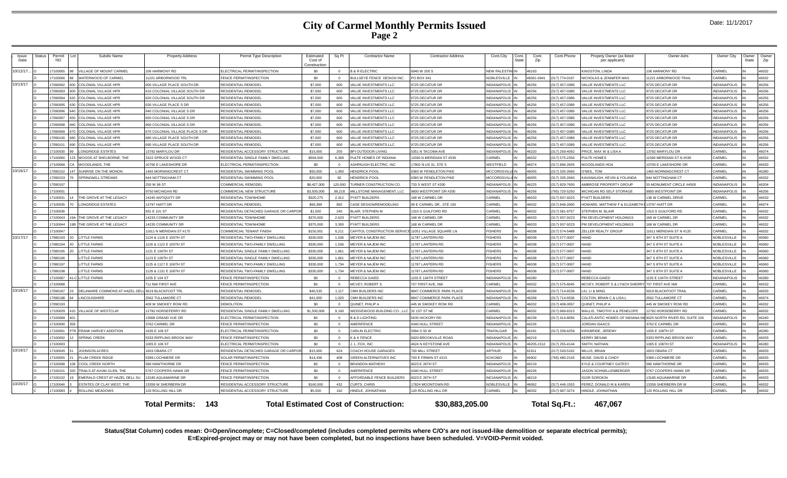### **City of Carmel Monthly Permits Issued Page 2**

| Issue<br>Date | <b>Status</b> | Permit<br><b>NO</b> |            | Subdiv Name                    | <b>Property Address</b>                | Permit Type Description                    | Estimated<br>Cost of<br>Construction | Sq Ft    | <b>Contractor Name</b>                       | <b>Contractor Address</b>       | Cont.City           | Cont<br>State | Cont.<br>Zip | Cont.Phone       | Propety Owner (as listed<br>per applicant) | Owner Adrs                     | Owner City          | )wner<br><b>State</b> | Owner<br>Zip |
|---------------|---------------|---------------------|------------|--------------------------------|----------------------------------------|--------------------------------------------|--------------------------------------|----------|----------------------------------------------|---------------------------------|---------------------|---------------|--------------|------------------|--------------------------------------------|--------------------------------|---------------------|-----------------------|--------------|
| 10/12/17.     |               | 17100065            |            | VILLAGE OF MOUNT CARMEL        | 06 HARMONY RD                          | LECTRICAL PERMIT/INSPECTION                | \$0                                  | $\Omega$ | <b>B &amp; R ELECTRIC</b>                    | 6940 W 200 S                    | <b>NEW PALESTIN</b> |               | 46163        |                  | <b>INGSTON, LINDA</b>                      | 106 HARMONY RD                 | CARMEL              |                       | 46032        |
|               |               | 17100066            |            | WATERWOOD OF CARMEL            | 1221 ARBORWOOD TRL                     | <b>FNCE PERMIT/INSPECTION</b>              | \$0                                  | $\Omega$ | BULLSEYE FENCE DESIGN INC.                   | PO BOX 941                      | NOBLESVILLE         |               | 46061-0941   | (317) 774-0197   | NICHOLAS & JENNIFER MAX                    | 1221 ARBORWOOD TRAIL           | ARMEL               |                       | 46032        |
| 10/13/17      |               | 17090092            |            | <b>COLONIAL VILLAGE HPR</b>    | <b>500 VILLAGE PLACE SOUTH DR</b>      | RESIDENTIAL REMODEI                        | \$7,000                              |          | VALUE INVESTMENTS LLC                        | <b>9725 DECATUR DI</b>          | <b>INDIANAPOLIS</b> |               | 16256        | 317) 457-0389    | <b>ALUE INVESTMENTS LLC</b>                | <b>9725 DECATUR DF</b>         | <b>NDIANAPOLIS</b>  |                       | 46256        |
|               |               | 17090093            |            | <b>COLONIAL VILLAGE HPR</b>    | 10 COLONIAL VILLAGE SOUTH DR           | RESIDENTIAL REMODEL                        | \$7,000                              | 600      | VALUE INVESTMENTS LLC                        | 9725 DECATUR DR                 | <b>INDIANAPOLIS</b> |               | 46256        | (317) 457-0389   | <b>ALUE INVESTMENTS LLC</b>                | 9725 DECATUR DR                | <b>INDIANAPOLIS</b> |                       | 46256        |
|               |               | 17090094            |            | <b>COLONIAL VILLAGE HPR</b>    | 620 COLONIAL VILLAGE SOUTH DR          | RESIDENTIAL REMODEL                        | \$7,000                              | 600      | VALUE INVESTMENTS LLC                        | 9725 DECATUR DF                 | <b>INDIANAPOLIS</b> |               | 46256        | (317) 457-0389   | <b>ALUE INVESTMENTS LLC</b>                | 9725 DECATUR DR                | <b>NDIANAPOLIS</b>  |                       | 46256        |
|               |               | 17090095            | <b>028</b> | COLONIAL VILLAGE HPR           | 630 VILLAGE PLACE S DR                 | RESIDENTIAL REMODEL                        | \$7,000                              | 600      | VALUE INVESTMENTS LLC                        | 9725 DECATUR DR                 | <b>INDIANAPOLIS</b> |               | 46256        | (317) 457-0389   | <b>/ALUE INVESTMENTS LLC</b>               | <b>9725 DECATUR DR</b>         | <b>NDIANAPOLIS</b>  |                       | 46256        |
|               |               | 17090096            |            | COLONIAL VILLAGE HPR           | 40 COLONIAL VILLAGE S DR               | RESIDENTIAL REMODEL                        | \$7,000                              | 600      | ALUE INVESTMENTS LLC                         | 9725 DECATUR DR                 | <b>NDIANAPOLIS</b>  |               | 46256        | (317) 457-0389   | <b>ALUE INVESTMENTS LLC</b>                | <b>9725 DECATUR DR</b>         | <b>NDIANAPOLIS</b>  |                       | 46256        |
|               |               | 17090097            |            | <b>COLONIAL VILLAGE HPR</b>    | <b>650 COLONIAL VILLAGE S DR</b>       | RESIDENTIAL REMODEL                        | \$7,000                              | 600      | VALUE INVESTMENTS LLC                        | 9725 DECATUR DF                 | <b>INDIANAPOLIS</b> |               | 46256        | (317) 457-0389   | <b>ALUE INVESTMENTS LLC</b>                | 9725 DECATUR DF                | <b>NDIANAPOLIS</b>  |                       | 46256        |
|               |               | 17090098            |            | COLONIAL VILLAGE HPR           | 60 COLONIAL VILLAGE S DR               | RESIDENTIAL REMODEL                        | \$7,000                              | 600      | ALUE INVESTMENTS LLC                         | 9725 DECATUR DR                 | <b>INDIANAPOLIS</b> |               | 46256        | 317) 457-0389    | <b>VALUE INVESTMENTS LLC</b>               | 725 DECATUR DR                 | <b>NDIANAPOLIS</b>  |                       | 46256        |
|               |               | 17090099            |            | <b>COLONIAL VILLAGE HPR</b>    | <b>370 COLONIAL VILLAGE PLACE S DR</b> | RESIDENTIAL REMODEL                        | \$7,000                              | 600      | ALUE INVESTMENTS LLC                         | 9725 DECATUR DR                 | NDIANAPOLIS         |               | 46256        | (317) 457-0389   | <b>/ALUE INVESTMENTS LLC</b>               | <b>9725 DECATUR DR</b>         | <b>INDIANAPOLIS</b> |                       | 46256        |
|               |               | 17090100            |            | <b>COLONIAL VILLAGE HPR</b>    | <b>80 VILLAGE PLACE SOUTH DR</b>       | RESIDENTIAL REMODEL                        | \$7,000                              | 600      | ALUE INVESTMENTS LLC                         | 9725 DECATUR DR                 | <b>NDIANAPOLIS</b>  |               | 46256        | 317) 457-0389    | <b>/ALUE INVESTMENTS LLC</b>               | 725 DECATUR DR                 | <b>NDIANAPOLIS</b>  |                       | 46256        |
|               |               | 17090101            |            | <b>COLONIAL VILLAGE HPF</b>    | <b>990 VILLAGE PLACE SOUTH DR</b>      | RESIDENTIAL REMODEL                        | \$7,000                              | 600      | ALUE INVESTMENTS LLC                         | 9725 DECATUR DF                 | <b>NDIANAPOLIS</b>  |               | 46256        | 317) 457-0389    | ALUE INVESTMENTS LLC                       | 725 DECATUR DR                 | <b>NDIANAPOLIS</b>  |                       | 46256        |
|               |               | 17100030            |            | <b>LONGRIDGE ESTATES</b>       | 3782 MARYLOU DE                        | RESIDENTIAL ACCESSORY STRUCTURE            | \$15,000                             | 250      | <b>BPI OUTDOOR LIVING</b>                    | 5351 N TACOMA AVE               | <b>INDIANAPOLIS</b> |               | 46220        | (317) 259-4062   | PRICE, MAX W & LISA A                      | 3782 MARYLOU DF                | CARMEL              |                       | 46074        |
|               |               | 17100060            |            | WOODS AT SHELBORNE. THE        | 322 SPRUCE WOOD CT                     | RESIDENTIAL SINGLE FAMILY DWELLING         | \$594,000                            | 6.369    | PULTE HOMES OF INDIANA                       | 1590 N MERIDIAN ST #530         | CARMEL              |               | 46032        | (317) 575-2350   | PULTE HOMES                                | 1590 MERIDIAN ST N #530        | CARMEL              |                       | 46032        |
|               |               | 17100068            |            | WOODI ANDS. THE                | 0700 E LAKESHORE DR                    | LECTRICAL PERMIT/INSPECTION                | \$0                                  | $\Omega$ | ASHPAUGH ELECTRIC, INC                       | 17902 N US 31, STE 5            | <b>VESTFIELD</b>    |               | 46074        | (317) 896-2605   | WOODLANDS HOA                              | 0700 F LAKESHORE DR            | CARMEL              |                       | 46033        |
| 10/16/17      |               | 17090152            |            | SUNRISE ON THE MONON           | 465 MORNINGCREST CT                    | RESIDENTIAL SWIMMING POOL                  | \$50,000                             | 1.000    | <b>HENDRICK POOL</b>                         | 3383 W PENDLETON PIKE           | <b>MCCORDSVILI</b>  |               | 46055        | (317) 335-2660   | O'NEIL. TOM                                | 465 MORNINGCREST CT            | CARMEL              |                       | 46280        |
|               |               | 17090153            |            | <b>SPRINGMILL STREAMS</b>      | <b>644 NOTTINGHAM CT</b>               | RESIDENTIAL SWIMMING POOL                  | \$20,000                             | 82       | <b>HENDRICK POOL</b>                         | 6383 W PENDI FTON PIKE          | <b>MCCORDSVIL</b>   |               | 46055        | (317) 335-2660   | <b>CAVANAUGH, KEVIN &amp; YOLANDA</b>      | <b>344 NOTTINGHAM CT</b>       | CARMEL              |                       | 46032        |
|               |               | 17090197            |            |                                | 250 W 96 ST                            | COMMERCIAL REMODE                          | \$8,427,000                          | 120.000  | <b>TURNER CONSTRUCTION CO</b>                | 733 S WEST ST #200              | <b>INDIANAPOLIS</b> |               | 46225        | (317) 829-7600   | MBROSE PROPERTY GROUP                      | MONUMENT CIRCLE #4500          | <b>INDIANAPOLIS</b> |                       | 46204        |
|               |               | 17100001            |            |                                | 750 MICHIGAN RD                        | COMMERCIAL NEW STRUCTURE                   | \$3,500,000                          | 96,218   | MILLSTONE MANAGEMENT, LLC                    | 9800 WESTPOINT DR #200          | <b>INDIANAPOLIS</b> |               | 46256        | 765) 720-5250    | MICHIGAN RD SELF STORAGE                   | <b>800 WESTPOINT DR</b>        | NDIANAPOLIS         |                       | 46256        |
|               |               | 17100031            |            | THE GROVE AT THE LEGACY        | 4245 ANTIQUITY DR                      | <b>ESIDENTIAI TOWNHOME</b>                 | \$320,275                            | 2.312    | PYATT BUILDERS                               | <b>ISS W CARMEL DR</b>          | CARMEL              |               | 46033        | 317) 937-9223    | PYATT BUILDERS                             | <b>36 W CARMEL DRIVE</b>       | ARMEI               |                       | 46032        |
|               |               | 17100035            |            | ONGRIDGE ESTATES               | 3797 HIATT DR                          | RESIDENTIAL REMODEL                        | \$69,399                             | 992      | CASE DESIGN/REMODELING                       | 99 E CARMEL DR., STE 100        | CARMEL              |               | 46032        | (317) 846-2600   | HOWARD, MATTHEW F & ELIZABE                | 3797 HIATT DF                  | CARMEL              |                       | 46074        |
|               |               | 17100036            |            |                                | 931 F 101 ST                           | RESIDENTIAL DETACHED GARAGE OR CARPO       | \$1.500                              | 240      | <b>BLAIR, STEPHEN M</b>                      | 1310 S GUILEORD RD              | CARMEL              |               | 36032        | (317) 581-9757   | STEPHEN M. BI AIR                          | 310 S GUILFORD RD              | ARMEL               |                       | 46032        |
|               |               | 17100043            |            | THE GROVE AT THE LEGACY        | 14233 COMMUNITY DR                     | RESIDENTIAI TOWNHOME                       | \$370,000                            | 2,623    | PYATT BUILDERS                               | 168 W CARMEL DR                 | CARMEL              |               | 46033        | (317) 937-9223   | M DEVELOPMENT HOLDINGS                     | <b>168 W CARMEL DR</b>         | CARMEL              |                       | 46032        |
|               |               | 17100044            | 19R        | THE GROVE AT THE LEGACY        | 4235 COMMUNITY DR                      | RESIDENTIAL TOWNHOME                       | \$375,000                            | 3.300    | <b>PYATT BUILDERS</b>                        | 168 W CARMEL DR                 | CARMEL              |               | <b>22034</b> | (317) 937-9223   | PM DEVELOPMENT HOLDINGS                    | <b>168 W CARMEL DR</b>         | CARMEL              |                       | 46032        |
|               |               | 17100047            |            |                                | 1611 N MERIDIAN ST #175                | COMMERCIAL TENANT FINISH                   | \$150,001                            | 6.211    | CAPITOL CONSTRUCTION SERVICE                 | 11051 VILLAGE SQUARE LN         | <b>FISHERS</b>      |               | 46038        | 317) 574-5488    | ZELLER REALTY GROUP                        | 1611 MERIDIAN ST N #120        | <b>ARMEL</b>        |                       | 46032        |
| 10/17/17      |               | 17080193            |            | <b>LITTLE FARMS</b>            | 1124 & 1126 E 105TH ST                 | RESIDENTIAL TWO-FAMILY DWELLING            | \$330,000                            | 1.536    | <b>MEYER &amp; NAJEM INC</b>                 | 11787 LANTERN RD                | <b>FISHERS</b>      |               | 46038        | (317) 577-0007   | HAND                                       | 347 S 8TH ST SUITE /           | <b>NOBLESVILLI</b>  |                       | 46060        |
|               |               | 17080194            |            | <b>ITTLE FARMS</b>             | 120 & 1122 E 105TH ST                  | RESIDENTIAL TWO-FAMILY DWELLING            | \$330,000                            | 1.536    | <b>MEYER &amp; NAJEM INC</b>                 | 1787 LANTERN RD                 | <b>FISHERS</b>      |               | 46038        | (317) 577-0007   | <b>HAND</b>                                | 347 S 8TH ST SUITE A           | NOBLESVILLE         |                       | 46060        |
|               |               | 17080195            |            | <b>ITTLE FARMS</b>             | 121 E 106TH ST                         | RESIDENTIAL SINGLE FAMILY DWELLING         | \$330,000                            | 1.661    | <b>MEYER &amp; NAJEM INC</b>                 | 1787 LANTERN RD                 | <b>ISHERS</b>       |               | 46038        | 317) 577-0007    | <b>HAND</b>                                | 347 S 8TH ST SUITE A           | NOBLESVILLE         |                       | 46060        |
|               |               | 17080196            |            | <b>ITTLE FARMS</b>             | 123 E 106TH ST                         | RESIDENTIAL SINGLE FAMILY DWELLING         | \$330,000                            | 1.661    | <b>MEYER &amp; NAJEM INC</b>                 | 11787 LANTERN RD                | <b>ISHERS</b>       |               | 46038        | 317) 577-0007    | <b>HAND</b>                                | 347 S 8TH ST SUITE A           | NOBLESVILLE         |                       | 46060        |
|               |               | 17080197            |            | <b>ITTLE FARMS</b>             | 125 & 1127 E 106TH ST                  | RESIDENTIAL TWO-FAMILY DWELLING            | \$330,000                            | 1.734    | <b>MEYER &amp; NAJEM INC</b>                 | 1787 LANTERN RD                 | <b>ISHERS</b>       |               | 46038        | 317) 577-0007    | HAND                                       | 347 S 8TH ST SUITE A           | NOBLESVILLE         |                       | 46060        |
|               |               | 17080198            |            | <b>ITTLE FARMS</b>             | 129 & 1131 E 106TH ST                  | RESIDENTIAL TWO-FAMILY DWELLING            | \$330,000                            | 1.734    | <b>MEYER &amp; NAJEM INC</b>                 | 11787 LANTERN RD                | <b>FISHERS</b>      |               | 46038        | (317) 577-0007   | HAND                                       | 347 S 8TH ST SUITE A           | NOBLESVILLE         |                       | 46060        |
|               |               | 17100087            |            | <b>LITTLE FARMS</b>            | 155 E 104 ST                           | FENCE PERMIT/INSPECTION                    | \$0                                  | $\Omega$ | REBECCA GAIED                                | 1155 E 104TH STREET             | <b>NDIANAPOLIS</b>  |               | 46280        |                  | REBECCA GAIED                              | 1155 E 104TH STREET            | <b>NDIANAPOLIS</b>  |                       | 46280        |
|               |               | 17100088            |            |                                | 11 NW FIRST AVE                        | <b>FINCE PERMIT/INSPECTION</b>             | \$0                                  | $\Omega$ | <b>MCVEY, ROBERTS</b>                        | 707 FIRST AVE NW                | CARMEL              |               | 36032        | 317) 575-8045    | MCVEY, ROBERT S & LYNCH SHERR              | 707 FIRST AVE NW               | ARMEL               |                       | 46032        |
| 10/18/17      |               | 17090187            |            | DELAWARE COMMONS AT HAZEL DEL  | 5619 BLACKFOOT TRI                     | RESIDENTIAL REMODEI                        | \$40.535                             | 1 1 1 7  | CMH BUILDERS INC                             | <b>3847 COMMERCE PARK PLACE</b> | NDIANAPOLIS         |               | 46268        | (317) 714-6536   | IU. LL& MING                               | 619 BLACKFOOT TRAIL            | CARMEI              |                       | 46033        |
|               |               | 17090188            |            | <b>INCOLNSHIRE</b>             | <b>2562 TULLAMORE CT</b>               | RESIDENTIAL REMODEL                        | \$41,000                             | 1.020    | CMH BUILDERS INC                             | 8847 COMMERCE PARK PLACE        | <b>INDIANAPOLIS</b> |               | 46268        | $(317)$ 714-6536 | COLTON, BRIAN C & LISA L                   | 2562 TULLAMORE CT              | CARMEL              |                       | 46074        |
|               |               | 17090193            |            |                                | 409 W SMOKEY ROW RD                    | DEMOLITION                                 | \$0                                  | $\Omega$ | QUINET, PHILIP A                             | 445 W SMOKEY ROW RD             | CARMEL              |               | 46032        | (317) 408-0057   | QUINET, PHILIP A                           | 445 W SMOKEY ROW RD            | CARMEL              |                       | 46032        |
|               |               | 17100029            |            | <b>VILLAGE OF WESTCLAY</b>     | 2782 HORSFFFRRY RD                     | RESIDENTIAL SINGLE FAMILY DWELLING         | \$1,500,000                          | 9.160    | VEDGEWOOD BUILDING CO., LLC 32 1ST ST NE     |                                 | CARMEL              |               | 46032        | 317) 669-6315    | WALLIS, TIMOTHY A & PENELOPE               | 782 HORSFBERRY RD              | ARMEL               |                       | 46032        |
|               |               | 17100089            |            |                                | 3068 GRAND VUE DR                      | ELECTRICAL PERMIT/INSPECTION               | \$0                                  | $\Omega$ | <b>B &amp; D LIGHTING</b>                    | 5635 HICKORY RD                 | NDIANAPOLIS         |               | 46239        | 317) 414-8056    | CALATLANTIC HOMES OF INDIANA I             | 9025 NORTH RIVER RD, SUITE 100 | <b>NDIANAPOLIS</b>  |                       | 46240        |
|               |               | 17100090            |            |                                | 3762 CARMEL DF                         | <b>ENCE PERMIT/INSPECTION</b>              | \$0                                  |          | MERIFENCE                                    | 1340 HULL STREET                | <b>INDIANAPOLIS</b> |               | 46226        |                  | <b>ORDAN ISAACS</b>                        | 762 E CARMEL DI                | ARMEL               |                       | 46033        |
|               |               | 17100091            |            | PT8 FRANK HARVEY ADDITION      | 1635 E 109 ST                          | ELECTRICAL PERMIT/INSPECTION               | \$0                                  | $\Omega$ | CARLIN ELECTRIC                              | 5994 S 50 W                     | TRAFALGAR           |               | 46181        | (317) 339-6259   | KIRKBRIDE, JEREMY                          | 635 E 109TH ST                 | CARMEL              |                       | 46280        |
|               |               | 17100092            |            | <b>SPRING CREEK</b>            | 333 RIPPLING BROOK WAY                 | FENCE PERMIT/INSPECTION                    | \$0                                  | $\Omega$ | <b>6 &amp; K FENCE</b>                       | <b>920 BROOKVILLE ROAD</b>      | <b>INDIANAPOLIS</b> |               | 46219        |                  | <b>KERRY BESAW</b>                         | 3333 RIPPLING BROOK WAY        | CARMEL              |                       | 46033        |
|               |               | 17100093            |            |                                | 005 E 106 ST                           | LECTRICAL PERMIT/INSPECTION                | \$0                                  | $\Omega$ | L. FOX. INC                                  | 4624 N KEYSTONE AVE             | <b>INDIANAPOLIS</b> |               | 46205-1512   | (317) 255-4144   | SMITH, NATHAN                              | 1005 E 106TH ST                | <b>NDIANAPOLIS</b>  |                       | 46280        |
| 10/19/17      |               | 17100045            |            | JOHNSON ACRES                  | 603 ORARA CT                           | <b>ESIDENTIAL DETACHED GARAGE OR CARPO</b> | \$15,000                             | 624      | COACH HOUSE GARAGES                          | 700 MILL STREET                 | <b>ARTHUR</b>       |               | 1911         | 217) 543-5102    | <b>MILLIS RRIAN</b>                        | 603 OBARA CT                   | ARMEI               |                       | 46033        |
|               |               | 17100055            |            | PLUM CREEK RIDGE               | 5399 LOCHMERE DE                       | SOLAR PERMIT/INSPECTION                    | \$14,438                             | 408      | <b>GREEN ALTERNATIVES INC</b>                | 700 E FIRMIN ST #215            | KOKOMO              |               | 46902        | 765) 480-2143    | MUSE. DAVID & CINDY                        | 5399 LOCHMERE DE               | CARMEL              |                       | 46033        |
|               |               | 17100098            |            | COOL CREEK NORTH               | 580 HAWTHORNE DR                       | <b>ENCE PERMIT/INSPECTION</b>              | \$0                                  | $\Omega$ | <b>BRANDON MATHENY</b>                       | 6023 E 26TH ST                  | <b>INDIANAPOLIS</b> |               | 46219        |                  | <b>KYLE &amp; COURTNEY GATESY</b>          | 80 HAWTHORNE DR                | CARMEL              |                       | 46033        |
|               |               | 17100101            | 320        | TRAILS AT AVIAN GLEN, THE      | 767 COOPERS HAWK DR                    | <b>ENCE PERMIT/INSPECTION</b>              | \$0                                  | $\Omega$ | <b>MERIFENCE</b>                             | 1340 HULL STREET                | <b>INDIANAPOLIS</b> |               | 46226        |                  | <b>JASON SCHNELLENBERGER</b>               | 767 COOPERS HAWK DR            | CARMEL              |                       | 46033        |
|               |               | 17100102            |            | EMERALD CREST AT HAZEL DELL SU | 185 AQUAMARINE DR                      | <b>ENCE PERMIT/INSPECTION</b>              | sn                                   | $\Omega$ | <b>IFFORDABLE FENCE BUILDERS</b>             | 023 E 26TH ST                   | <b>INCIANAPOLIS</b> |               | 46219        |                  | <b>GOR SOROKIN</b>                         | 185 AQUAMARINE DR              | ARMFI:              |                       | 46033        |
| 10/20/17      |               | 17100046            |            | ESTATES OF CLAY WEST, THE      | 3358 W SHERBERN DR                     | RESIDENTIAL ACCESSORY STRUCTURE            | \$160,000                            | 432      | CURTS, CHRIS                                 | 17824 MOONTOWN RD               | NOBLESVILLE         |               | 16062        | (317) 446-1553   | PEREZ, DONALD M & KAREN                    | 358 SHERBERN DR W              | CARMEL              |                       | 46032        |
|               |               | 17100083            |            | <b>ROLLING MEADOWS</b>         | 120 ROLLING HILL DR                    | RESIDENTIAL ACCESSORY STRUCTURE            | \$5,500                              | 192      | HINDLE, JOHNATHAN                            | 120 ROLLING HILL DR             | CARMEL              |               | 46032        | (317) 987-3274   | HINDLE, JOHNATHAN                          | <b>120 ROLLING HILL DE</b>     | CARMEL              |                       | 46032        |
|               |               |                     |            |                                | <b>Total Permits: 143</b>              |                                            |                                      |          | <b>Total Estimated Cost of Construction:</b> | \$30,883,205.00                 |                     |               |              | Total Sq.Ft.:    | 467.067                                    |                                |                     |                       |              |

**Status(Stat Column) codes mean: O=Open/incomplete; C=Closed/completed (includes completed permits where C/O's are not issued-like demolition or separate electrical permits); E=Expired-project may or may not have been completed, but no inspections have been scheduled. V=VOID-Permit voided.**